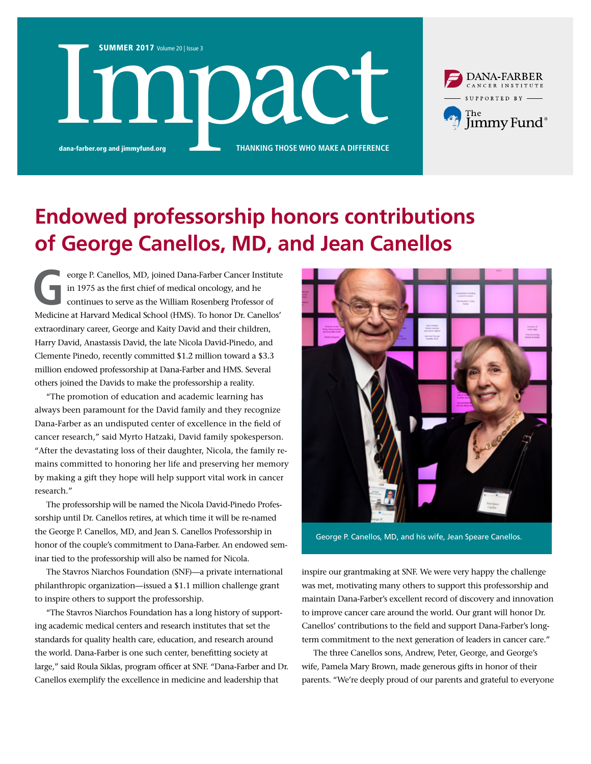

**THANKING THOSE WHO MAKE A DIFFERENCE** 



## **Endowed professorship honors contributions of George Canellos, MD, and Jean Canellos**

eorge P. Canellos, MD, joined Dana-Farber Cancer Institute<br>in 1975 as the first chief of medical oncology, and he<br>continues to serve as the William Rosenberg Professor of<br>Medicine at Haward Medical Sebacl (HMS). To benea D in 1975 as the first chief of medical oncology, and he continues to serve as the William Rosenberg Professor of Medicine at Harvard Medical School (HMS). To honor Dr. Canellos' extraordinary career, George and Kaity David and their children, Harry David, Anastassis David, the late Nicola David-Pinedo, and Clemente Pinedo, recently committed \$1.2 million toward a \$3.3 million endowed professorship at Dana-Farber and HMS. Several others joined the Davids to make the professorship a reality.

"The promotion of education and academic learning has always been paramount for the David family and they recognize Dana-Farber as an undisputed center of excellence in the field of cancer research," said Myrto Hatzaki, David family spokesperson. "After the devastating loss of their daughter, Nicola, the family remains committed to honoring her life and preserving her memory by making a gift they hope will help support vital work in cancer research."

The professorship will be named the Nicola David-Pinedo Professorship until Dr. Canellos retires, at which time it will be re-named the George P. Canellos, MD, and Jean S. Canellos Professorship in honor of the couple's commitment to Dana-Farber. An endowed seminar tied to the professorship will also be named for Nicola.

The Stavros Niarchos Foundation (SNF)—a private international philanthropic organization—issued a \$1.1 million challenge grant to inspire others to support the professorship.

"The Stavros Niarchos Foundation has a long history of supporting academic medical centers and research institutes that set the standards for quality health care, education, and research around the world. Dana-Farber is one such center, benefitting society at large," said Roula Siklas, program officer at SNF. "Dana-Farber and Dr. Canellos exemplify the excellence in medicine and leadership that



George P. Canellos, MD, and his wife, Jean Speare Canellos.

inspire our grantmaking at SNF. We were very happy the challenge was met, motivating many others to support this professorship and maintain Dana-Farber's excellent record of discovery and innovation to improve cancer care around the world. Our grant will honor Dr. Canellos' contributions to the field and support Dana-Farber's longterm commitment to the next generation of leaders in cancer care."

The three Canellos sons, Andrew, Peter, George, and George's wife, Pamela Mary Brown, made generous gifts in honor of their parents. "We're deeply proud of our parents and grateful to everyone